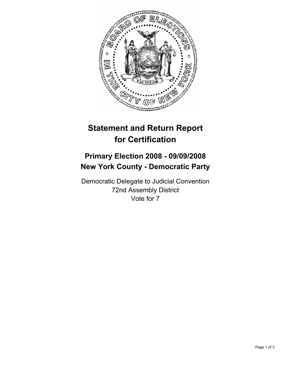

## **Statement and Return Report for Certification**

## **Primary Election 2008 - 09/09/2008 New York County - Democratic Party**

Democratic Delegate to Judicial Convention 72nd Assembly District Vote for 7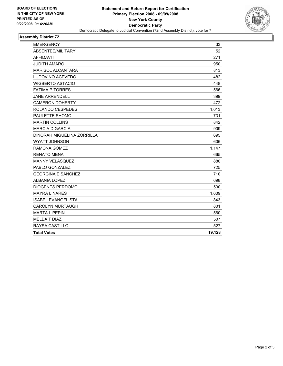

## **Assembly District 72**

| <b>EMERGENCY</b>           | 33     |
|----------------------------|--------|
| ABSENTEE/MILITARY          | 52     |
| <b>AFFIDAVIT</b>           | 271    |
| <b>JUDITH AMARO</b>        | 950    |
| <b>MARISOL ALCANTARA</b>   | 813    |
| LUDOVINO ACEVEDO           | 482    |
| <b>WIGBERTO ASTACIO</b>    | 448    |
| <b>FATIMA P TORRES</b>     | 566    |
| <b>JANE ARRENDELL</b>      | 399    |
| <b>CAMERON DOHERTY</b>     | 472    |
| ROLANDO CESPEDES           | 1,013  |
| PAULETTE SHOMO             | 731    |
| <b>MARTIN COLLINS</b>      | 842    |
| <b>MARCIA D GARCIA</b>     | 909    |
| DINORAH MIGUELINA ZORRILLA | 695    |
| <b>WYATT JOHNSON</b>       | 606    |
| RAMONA GOMEZ               | 1,147  |
| <b>RENATO MENA</b>         | 665    |
| <b>MANNY VELASQUEZ</b>     | 880    |
| PABLO GONZALEZ             | 725    |
| <b>GEORGINA E SANCHEZ</b>  | 710    |
| <b>ALBANIA LOPEZ</b>       | 698    |
| DIOGENES PERDOMO           | 530    |
| <b>MAYRA LINARES</b>       | 1,609  |
| <b>ISABEL EVANGELISTA</b>  | 843    |
| <b>CAROLYN MURTAUGH</b>    | 801    |
| <b>MARTA L PEPIN</b>       | 560    |
| <b>MELBA T DIAZ</b>        | 507    |
| <b>RAYSA CASTILLO</b>      | 527    |
| <b>Total Votes</b>         | 19,128 |